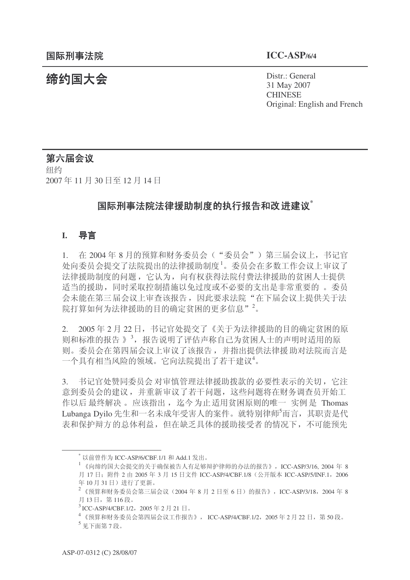统约国大会 Pistr.: General 31 May 2007 **CHINESE** Original: English and French

### 第六届会议

纽约 2007年11月30日至12月14日

### <del>国</del>际刑事法院法律援助制度的执行报告和改进建议<sup>\*</sup>

### **I.** 导言

1. 在 2004年8月的预算和财务委员会("委员会")第三届会议上,书记官 处向委员会提交了法院提出的法律援助制度。委员会在多数工作会议上审议了 法律援助制度的问题, 它认为, 向有权获得法院付费法律援助的贫困人士提供 适当的援助,同时采取控制措施以免过度或不必要的支出是非常重要的。委员 会未能在第三届会议上审查该报告,因此要求法院"在下届会议上提供关于法 院打算如何为法律援助的目的确定贫困的更多信息"<sup>2</sup>。

2. 2005年2月22日, 书记官处提交了《关于为法律援助的目的确定贫困的原 则和标准的报告》<sup>3</sup>, 报告说明了评估声称自己为贫困人士的声明时适用的原 则。委员会在第四届会议上审议了该报告,并指出提供法律援助对法院而言是 一个具有相当风险的领域。它向法院提出了若干建议4。

3. 书记官处赞同委员会对审慎管理法律援助拨款的必要性表示的关切, 它注 意到委员会的建议,并重新审议了若干问题,这些问题将在财务调查员开始工 作以后最终解决。应该指出, 迄今为止适用贫困原则的唯一 实例是 Thomas Lubanga Dyilo 先生和一名未成年受害人的案件。就特别律师5而言, 其职责是代 表和保护辩方的总体利益, 但在缺乏具体的援助接受者 的情况下, 不可能预先

 $^*$  以前曾作为 ICC-ASP/6/CBF.1/1 和 Add.1 发出。

 $^{-1}$  《向缔约国大会提交的关于确保被告人有足够辩护律师的办法的报告》, ICC-ASP/3/16, 2004 年 8 月 17 日; 附件 2 由 2005 年 3 月 15 日文件 ICC-ASP/4/CBF.1/8 (公开版本 ICC-ASP/5/INF.1, 2006 年10月31日)进行了更新。

 $^{2}$  《预算和财务委员会第三届会议 (2004年8月2日至6日) 的报告》, ICC-ASP/3/18, 2004年8 月13日, 第116段。

 $^3$ ICC-ASP/4/CBF.1/2, 2005年2月21日。

 $4$  《预算和财务委员会第四届会议工作报告》, ICC-ASP/4/CBF.1/2, 2005年2月22日, 第50段。

 $^5$  见下面第7段。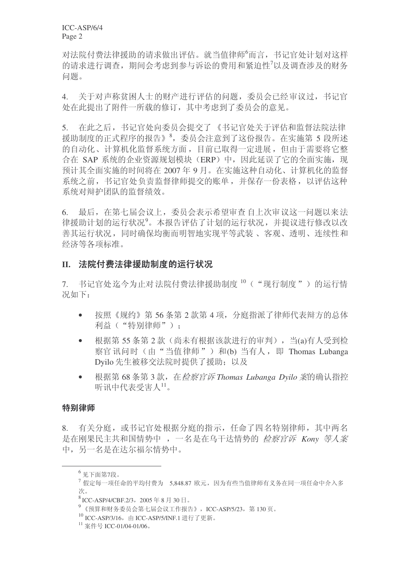ICC-ASP/6/4 Page 2

对法院付费法律援助的请求做出评估。就当值律师'而言, 书记官处计划对这样 的请求进行调查, 期间会考虑到参与诉讼的费用和紧迫性<sup>7</sup>以及调查涉及的财务 问题。

4. 关于对声称贫困人士的财产讲行评估的问题,委员会已经审议过,书记官 处在此提出了附件一所载的修订, 其中考虑到了委员会的意见。

5. 在此之后, 书记官处向委员会提交了《书记官处关于评估和监督法院法律 援助制度的正式程序的报告》<sup>8</sup>, 委员会注意到了这份报告。在实施第5 段所述 的自动化、计算机化监督系统方面,目前已取得一定讲展,但由于需要将它整 合在 SAP 系统的企业资源规划模块(ERP)中, 因此延误了它的全面实施, 现 预计其全面实施的时间将在2007年9月。在实施这种自动化、计算机化的监督 系统之前, 书记官处负责监督律师提交的账单, 并保存一份表格, 以评估这种 系统对辩护团队的监督绩效。

6. 最后, 在第七届会议上, 委员会表示希望审查自上次审议这一问题以来法 律援助计划的运行状况9。本报告评估了计划的运行状况,并提议进行修改以改 善其运行状况,同时确保均衡而明智地实现平等武装、客观、透明、连续性和 经济等各项标准。

#### Ⅱ. 法院付费法律援助制度的运行状况

7. 书记官处迄今为止对法院付费法律援助制度10 ("现行制度")的运行情 况如下:

- 按照《规约》第56条第2款第4项,分庭指派了律师代表辩方的总体 利益("特别律师"):
- 根据第 55 条第 2 款(尚未有根据该款进行的审判), 当(a)有人受到检 察官讯问时(由"当值律师")和(b) 当有人, 即 Thomas Lubanga Dyilo 先生被移交法院时提供了援助;以及
- 根据第68条第3款, 在*检察官诉 Thomas Lubanga Dvilo 案*的确认指控 听讯中代表受害人11。

#### 特别律师

8. 有关分庭, 或书记官处根据分庭的指示, 仟命了四名特别律师, 其中两名 是在刚果民主共和国情势中, 一名是在乌干达情势的 检察官诉 Kony 等人案 中,另一名是在达尔福尔情势中。

 $6$ 见下面第7段。

 $^7$ 假定每一项任命的平均付费为 5.848.87 欧元, 因为有些当值律师有义务在同一项任命中介入多 次。

 $8$ ICC-ASP/4/CBF.2/3, 2005年8月30日。

 $9$  《预算和财务委员会第七届会议工作报告》, ICC-ASP/5/23, 第130页。

 $^{10}$  ICC-ASP/3/16, 由 ICC-ASP/5/INF.1 进行了更新。

 $11$  案件号 ICC-01/04-01/06。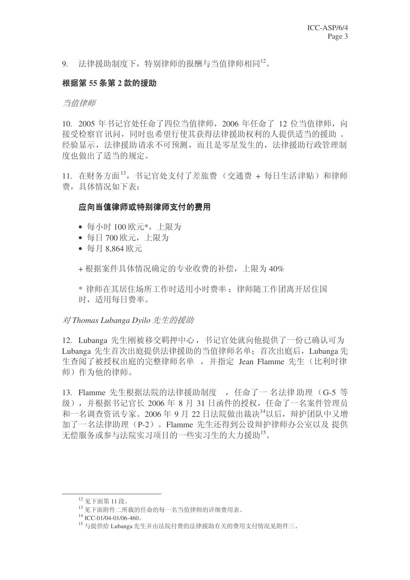9. 法律援助制度下,特别律师的报酬与当值律师相同 $^{12}$ 。

### 根据第 55 条第 2 款的援助

#### 当值律师

10. 2005 年书记官处任命了四位当值律师, 2006 年任命了 12 位当值律师, 向 接受检察官讯问,同时也希望行使其获得法律援助权利的人提供适当的援助。 经验显示, 法律援助请求不可预测, 而且是零星发生的, 法律援助行政管理制 度也做出了适当的规定。

11. 在财务方面<sup>13</sup>, 书记官处支付了差旅费(交通费 + 每日生活津贴)和律师 费,具体情况如下表:

### 应向当值律师或特别律师支付的费用

- 每小时 100 欧元\*, 上限为
- 每日 700 欧元, 上限为
- 每月8.864 欧元

+ 根据案件具体情况确定的专业收费的补偿, 上限为 40%

\* 律师在其居住场所工作时适用小时费率: 律师随工作团离开居住国 时, 活用每日费率。

对 Thomas Lubanga Dyilo 先生的援助

12. Lubanga 先生刚被移交羁押中心, 书记官处就向他提供了一份已确认可为 Lubanga 先生首次出庭提供法律援助的当值律师名单; 首次出庭后, Lubanga 先 生杳阅了被授权出庭的完整律师名单,并指定 Jean Flamme 先生(比利时律 师)作为他的律师。

13. Flamme 先生根据法院的法律援助制度, 任命了一名法律助理 (G-5 等 级), 并根据书记官长 2006 年 8 月 31 日函件的授权, 任命了一名案件管理员 和一名调查资讯专家。2006年9月22日法院做出裁决14以后,辩护团队中又增 加了一名法律助理 (P-2)。Flamme 先生还得到公设辩护律师办公室以及 提供 无偿服务或参与法院实习项目的一些实习生的大力援助<sup>15</sup>。

 $12$  见下面第11段。

 $^{13}$  见下面附件二所载的任命的每一名当值律师的详细费用表。

 $14$  ICC-01/04-01/06-460.

<sup>15</sup> 与提供给 Lubanga 先生并由法院付费的法律援助有关的费用支付情况见附件三。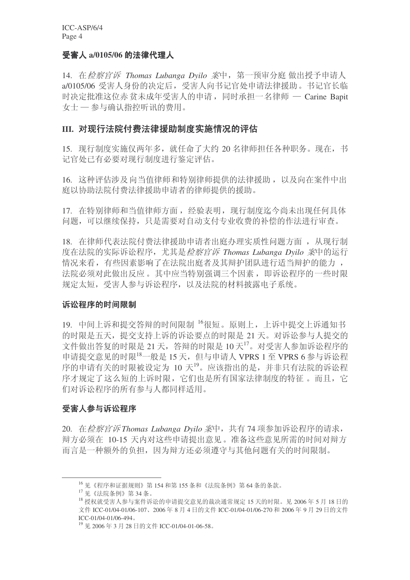#### **受害人 a/0105/06 的法律代理人**

14. 在*检察官诉 Thomas Lubanga Dyilo 案*中, 第一预审分庭 做出授予申请人 a/0105/06 受害人身份的决定后, 受害人向书记官处申请法律援助。书记官长临 时决定批准这位赤贫未成年受害人的申请,同时承担一名律师 - Carine Bapit 女士 一 参与确认指控听讯的费用。

### **III. 对现行法院付费法律援助制度实施情况的评估**

15. 现行制度实施仅两年多, 就任命了大约 20 名律师担任各种职务。现在, 书 记官处已有必要对现行制度讲行鉴定评估。

16. 这种评估涉及向当值律师和特别律师提供的法律援助, 以及向在案件中出 庭以协助法院付费法律援助申请者的律师提供的援助。

17. 在特别律师和当值律师方面, 经验表明, 现行制度迄今尚未出现任何具体 问题,可以继续保持,只是需要对自动支付专业收费的补偿的作法进行审查。

18. 在律师代表法院付费法律援助申请者出庭办理实质性问题方面, 从现行制 度在法院的实际诉讼程序, 尤其是*检察官诉 Thomas Lubanga Dvilo 案*中的运行 情况来看,有些因素影响了在法院出庭者及其辩护团队进行适当辩护的能力, 法院必须对此做出反应 。 其中应当特别强调三个因素 , 即诉讼程序的一些时限 规定太短, 受害人参与诉讼程序, 以及法院的材料披露电子系统。

#### 诉讼程序的时间限制

19. 中间上诉和提交答辩的时间限制 16很短。原则上, 上诉中提交上诉通知书 的时限是五天, 提交支持上诉的诉讼要点的时限是 21 天。对诉讼参与人提交的 文件做出答复的时限是 21 天, 答辩的时限是 10 天17。对受害人参加诉讼程序的 申请提交意见的时限 $^{18}$ 一般是 15 天, 但与申请人 VPRS 1 至 VPRS 6 参与诉讼程 序的申请有关的时限被设定为 10 天<sup>19</sup>。应该指出的是,并非只有法院的诉讼程 序才规定了这么短的上诉时限,它们也是所有国家法律制度的特征。而且,它 们对诉讼程序的所有参与人都同样适用。

### 受害人参与诉讼程序

20. 在检察官诉 Thomas Lubanga Dvilo 案中, 共有 74 项参加诉讼程序的请求, 辩方必须在 10-15 天内对这些申请提出意见。准备这些意见所需的时间对辩方 而言是一种额外的负担, 因为辩方还必须遵守与其他问题有关的时间限制。

 $^{16}$  见《程序和证据规则》第154 和第155 条和《法院条例》第64 条的条款。

<sup>17</sup> 见《法院条例》第34条。

 $^{18}$  授权就受害人参与案件诉讼的申请提交意见的裁决通常规定 15 天的时限。见 2006年5月18日的 文件 ICC-01/04-01/06-107、2006年8月4日的文件 ICC-01/04-01/06-270 和 2006年9月29日的文件  $ICC-01/04-01/06-494$ 

<sup>&</sup>lt;sup>19</sup> 见 2006年3月28日的文件 ICC-01/04-01-06-58。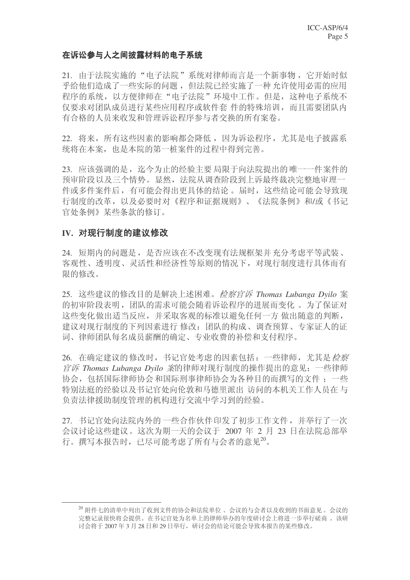### 在诉讼参与人之间披露材料的电子系统

21. 由于法院实施的"电子法院"系统对律师而言是一个新事物, 它开始时似 乎给他们造成了一些实际的问题,但法院已经实施了一种允许使用必需的应用 程序的系统,以方便律师在"电子法院"环境中工作。但是,这种电子系统不 仅要求对团队成员进行某些应用程序或软件套 件的特殊培训, 而且需要团队内 有合格的人员来收发和管理诉讼程序参与者交换的所有案卷。

22. 将来, 所有这些因素的影响都会降低, 因为诉讼程序, 尤其是电子披露系 统将在本案, 也是本院的第一桩案件的过程中得到完善。

23. 应该强调的是, 迄今为止的经验主要局限于向法院提出的唯一一件案件的 预审阶段以及三个情势。显然,法院从调查阶段到上诉最终裁决完整地审理一 件或多件案件后, 有可能会得出更具体的结论。届时, 这些结论可能会导致现 行制度的改革, 以及必要时对《程序和证据规则》、《法院条例》和/或《书记 官处条例》某些条款的修订。

#### IV. 对现行制度的建议修改

24. 短期内的问题是, 是否应该在不改变现有法规框架并充分考虑平等武装、 客观性、透明度、灵活性和经济性等原则的情况下, 对现行制度进行具体而有 限的修改。

25. 这些建议的修改目的是解决上述困难。*检察官诉 Thomas Lubanga Dyilo* 案 的初审阶段表明, 团队的需求可能会随着诉讼程序的进展而变化。为了保证对 这些变化做出适当反应, 并采取客观的标准以避免任何一方 做出随意的判断, 建议对现行制度的下列因素讲行 修改: 团队的构成、调查预算、专家证人的证 词、律师团队每名成员薪酬的确定、专业收费的补偿和支付程序。

26. 在确定建议的修改时, 书记官处考虑的因素包括: 一些律师, 尤其是*检察 官诉 Thomas Lubanga Dyilo 案*的律师对现行制度的操作提出的意见; 一些律师 协会, 包括国际律师协会和国际刑事律师协会为各种目的而撰写的文件; 一些 特别法庭的经验以及书记官处向伦敦和马德里派出 访问的本机关工作人员在与 负责法律援助制度管理的机构讲行交流中学习到的经验。

27. 书记官处向法院内外的一些合作伙伴印发了初步工作文件,并举行了一次 会议讨论这些建议。这次为期一天的会议于 2007 年 2 月 23 日在法院总部举 行。撰写本报告时,已尽可能考虑了所有与会者的意见20。

<sup>20</sup> 附件七的清单中列出了收到文件的协会和法院单位、会议的与会者以及收到的书面意见。会议的 完整记录很快将会提供。在书记官处为名单上的律师举办的年度研讨会上将进一步举行磋商。该研 讨会将于 2007 年 3 月 28 日和 29 日举行,研讨会的结论可能会导致本报告的某些修改。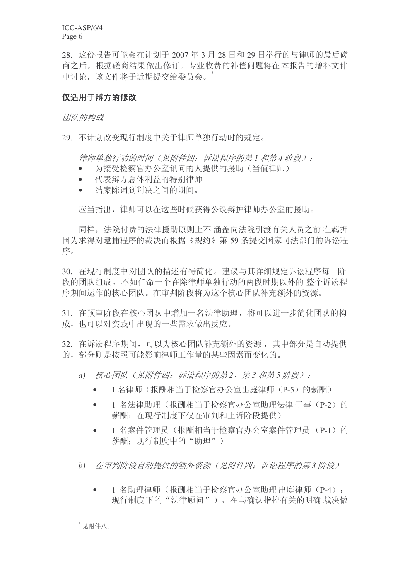ICC-ASP/6/4 Page 6

28. 这份报告可能会在计划于 2007年 3月 28 日和 29 日举行的与律师的最后磋 商之后, 根据磋商结果做出修订。专业收费的补偿问题将在本报告的增补文件 中讨论, 该文件将于近期提交给委员会。 \*

### 仅适用于辩方的修改

团队的构成

29. 不计划改变现行制度中关于律师单独行动时的规定。

律师单独行动的时间(见附件四: 诉讼程序的第1和第4 阶段):

- 为接受检察官办公室讯问的人提供的援助(当值律师)
- 代表辩方总体利益的特别律师
- 结案陈词到判决之间的期间。

应当指出, 律师可以在这些时候获得公设辩护律师办公室的援助。

同样, 法院付费的法律援助原则上不 涵盖向法院引渡有关人员之前 在羁押 国为求得对逮捕程序的裁决而根据《规约》第59条提交国家司法部门的诉讼程 序。

30. 在现行制度中对团队的描述有待简化。建议与其详细规定诉讼程序每一阶 段的团队组成,不如任命一个在除律师单独行动的两段时期以外的整个诉讼程 序期间运作的核心团队。在审判阶段将为这个核心团队补充额外的资源。

31. 在预审阶段在核心团队中增加一名法律助理, 将可以讲一步简化团队的构 成, 也可以对实践中出现的一些需求做出反应。

32. 在诉讼程序期间, 可以为核心团队补充额外的资源, 基中部分是自动提供 的, 部分则是按照可能影响律师工作量的某些因素而变化的。

- a) 核心团队(见附件四: 诉讼程序的第2、第3和第5阶段):
	- 1名律师(报酬相当于检察官办公室出庭律师(P-5)的薪酬)
	- 1 名法律助理(报酬相当于检察官办公室助理法律 干事(P-2)的 薪酬: 在现行制度下仅在审判和上诉阶段提供)
	- 1 名案件管理员(报酬相当于检察官办公室案件管理员(P-1)的 薪酬: 现行制度中的"助理")
- b) 在审判阶段自动提供的额外资源(见附件四:诉讼程序的第3阶段)
	- 1 名助理律师(报酬相当于检察官办公室助理出庭律师(P-4): 现行制度下的"法律顾问"), 在与确认指控有关的明确 裁决做

 $*$  见附件八。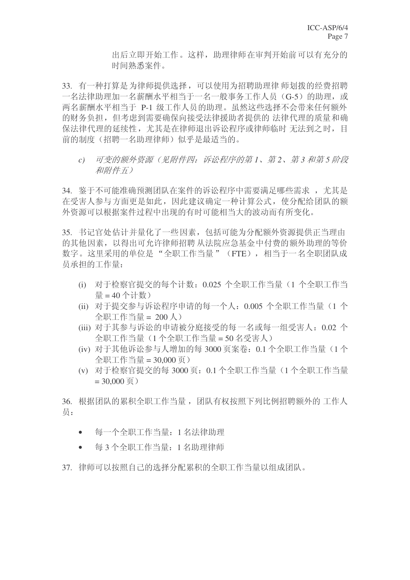出后立即开始工作。这样, 助理律师在审判开始前可以有充分的 时间熟悉案件。

33. 有一种打算是为律师提供选择,可以使用为招聘助理律师划拨的经费招聘 一名法律助理加一名薪酬水平相当于一名一般事务工作人员(G-5)的助理, 或 两名薪酬水平相当于 P-1 级工作人员的助理。虽然这些选择不会带来任何额外 的财务负担, 但考虑到需要确保向接受法律援助者提供的 法律代理的质量和确 保法律代理的延续性,尤其是在律师退出诉讼程序或律师临时 无法到之时,目 前的制度(招聘一名助理律师)似乎是最适当的。

 $c)$  可变的额外资源(见附件四: 诉讼程序的第1、第2、第3和第5阶段 和附件五)

34. 鉴于不可能准确预测团队在案件的诉讼程序中需要满足哪些需求, 尤其是 在受害人参与方面更是如此, 因此建议确定一种计算公式, 使分配给团队的额 外资源可以根据案件过程中出现的有时可能相当大的波动而有所变化。

35. 书记官处估计并量化了一些因素, 包括可能为分配额外资源提供正当理由 的其他因素,以得出可允许律师招聘从法院应急基金中付费的额外助理的等价 数字。这里采用的单位是"全职工作当量"(FTE), 相当于一名全职团队成 员承担的工作量:

- (i) 对于检察官提交的每个计数: 0.025 个全职工作当量 (1 个全职工作当 量 =  $40$  个计数)
- (ii) 对于提交参与诉讼程序申请的每一个人: 0.005 个全职工作当量(1个  $\triangle$ 职工作当量 = 200 人)
- (iii) 对于其参与诉讼的申请被分庭接受的每一名或每一组受害人: 0.02 个 全职工作当量 = 50 名受害人)
- (iv) 对于其他诉讼参与人增加的每 3000 页案卷: 0.1 个全职工作当量 (1 个 全职工作当量 = 30.000 页)
- (v) 对于检察官提交的每 3000 页: 0.1 个全职工作当量 (1 个全职工作当量  $= 30,000 \overline{0}$

36. 根据团队的累积全职工作当量, 团队有权按照下列比例招聘额外的 工作人 员:

- 每一个全职工作当量: 1 名法律助理
- 每3个全职工作当量: 1名助理律师
- 37. 律师可以按照自己的选择分配累积的全职工作当量以组成团队。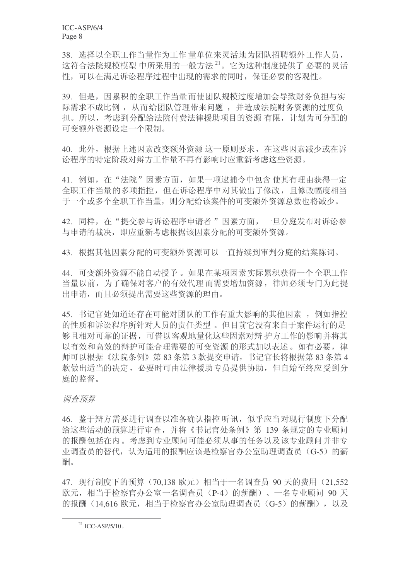38. 选择以全职工作当量作为工作 量单位来灵活地为团队招聘额外工作人员, 这符合法院规模模型中所采用的一般方法<sup>21</sup>。它为这种制度提供了必要的灵活 性,可以在满足诉讼程序过程中出现的需求的同时,保证必要的客观性。

39. 但是,因累积的全职工作当量而使团队规模过度增加会导致财务负担与实 际需求不成比例, 从而给团队管理带来问题, 并造成法院财务资源的过度负 担。所以,考虑到分配给法院付费法律援助项目的资源 有限, 计划为可分配的 可变额外资源设定一个限制。

40. 此外, 根据上述因素改变额外资源这一原则要求, 在这些因素减少或在诉 讼程序的特定阶段对辩方工作量不再有影响时应重新考虑这些资源。

41. 例如, 在"法院"因素方面, 如果一项逮捕令中包含 使其有理由获得一定 全职工作当量的多项指控,但在诉讼程序中对其做出了修改,且修改幅度相当 于一个或多个全职工作当量, 则分配给该案件的可变额外资源总数也将减少。

42. 同样, 在"提交参与诉讼程序申请者"因素方面, 一旦分庭发布对诉讼参 与申请的裁决, 即应重新考虑根据该因素分配的可变额外资源。

43. 根据其他因素分配的可变额外资源可以一直持续到审判分庭的结案陈词。

44. 可变额外资源不能自动授予。如果在某项因素实际累积获得一个全职工作 当量以前, 为了确保对客户的有效代理而需要增加资源, 律师必须专门为此提 出申请, 而且必须提出需要这些资源的理由。

45. 书记官处知道还存在可能对团队的工作有重大影响的其他因素, 例如指控 的性质和诉讼程序所针对人员的责任类型。但目前它没有来自于案件运行的足 够且相对可靠的证据,可借以客观地量化这些因素对辩护方工作的影响并将其 以有效和高效的辩护可能合理需要的可变资源 的形式加以表述。如有必要, 律 师可以根据《法院条例》第83 条第 3 款提交申请,书记官长将根据第83 条第 4 款做出适当的决定, 必要时可由法律援助专员提供协助, 但自始至终应受到分 庭的监督。

#### 调查预算

46. 鉴于辩方需要讲行调查以准备确认指控 听讯, 似乎应当对现行制度下分配 给这些活动的预算进行审查, 并将《书记官处条例》第 139 条规定的专业顾问 的报酬包括在内。考虑到专业顾问可能必须从事的任务以及该专业顾问并非专 业调查员的替代, 认为适用的报酬应该是检察官办公室助理调查员 (G-5) 的薪 酬。

47. 现行制度下的预算 (70.138 欧元) 相当于一名调杳员 90 天的费用 (21.552 欧元, 相当于检察官办公室一名调查员 (P-4) 的薪酬)、一名专业顾问 90 天 的报酬 (14.616 欧元, 相当于检察官办公室助理调查员 (G-5) 的薪酬), 以及

 $^{21}$  ICC-ASP/5/10.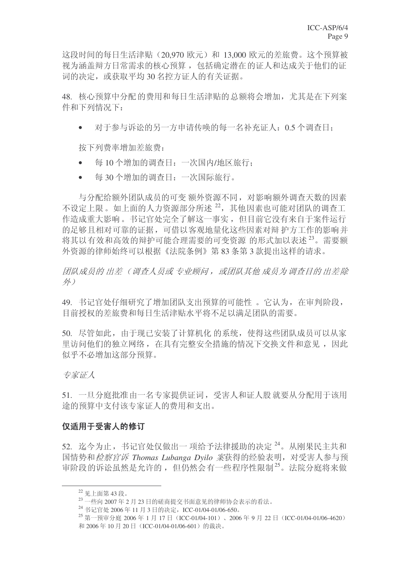这段时间的每日生活津贴 (20,970 欧元) 和 13,000 欧元的差旅费。这个预算被 视为涵盖辩方日常需求的核心预算, 包括确定潜在的证人和达成关于他们的证 词的决定, 或获取平均30名控方证人的有关证据。

48. 核心预算中分配的费用和每日生活津贴的总额将会增加, 尤其是在下列案 件和下列情况下:

• 对于参与诉讼的另一方申请传唤的每一名补充证人: 0.5 个调查日:

按下列费率增加差旅费:

- 每 10 个增加的调查日: 一次国内/地区旅行:
- 每30个增加的调查日: 一次国际旅行。

与分配给额外团队成员的可变 额外资源不同, 对影响额外调查天数的因素 不设定上限。如上面的人力资源部分所述22. 其他因素也可能对团队的调查工 作造成重大影响。书记官处完全了解这一事实,但目前它没有来自于案件运行 的足够且相对可靠的证据,可借以客观地量化这些因素对辩护方工作的影响并 将其以有效和高效的辩护可能合理需要的可变资源 的形式加以表述<sup>23</sup>。需要额 外资源的律师始终可以根据《法院条例》第83条第3款提出这样的请求。

团队成员的 出差 (调查人员或 专业顾问, 或团队其他 成员为调查目的 出差除 外)

49. 书记官处仔细研究了增加团队支出预算的可能性。它认为, 在审判阶段, 目前授权的差旅费和每日生活津贴水平将不足以满足团队的需要。

50. 尽管如此, 由于现已安装了计算机化 的系统, 使得这些团队成员可以从家 里访问他们的独立网络, 在具有完整安全措施的情况下交换文件和意见, 因此 似乎不必增加这部分预算。

专家证人

51. 一旦分庭批准由一名专家提供证词, 受害人和证人股 就要从分配用于该用 途的预算中支付该专家证人的费用和支出。

### 仅话用干受害人的修订

52. 迄今为止, 书记官处仅做出一项给予法律援助的决定<sup>24</sup>。从刚果民主共和 国情势和*检察官诉 Thomas Lubanga Dvilo 案*获得的经验表明, 对受害人参与预 审阶段的诉讼虽然是允许的, 但仍然会有一些程序性限制<sup>25</sup>。法院分庭将来做

<sup>22</sup> 见上面第43段。

 $^{23}$  一些向 2007年2月23日的磋商提交书面意见的律师协会表示的看法。

<sup>24</sup> 书记官处 2006年11月3日的决定, ICC-01/04-01/06-650。

<sup>&</sup>lt;sup>25</sup> 第一预审分庭 2006年1月17日 (ICC-01/04-101)、2006年9月22日 (ICC-01/04-01/06-4620) 和 2006年10月20日 (ICC-01/04-01/06-601) 的裁决。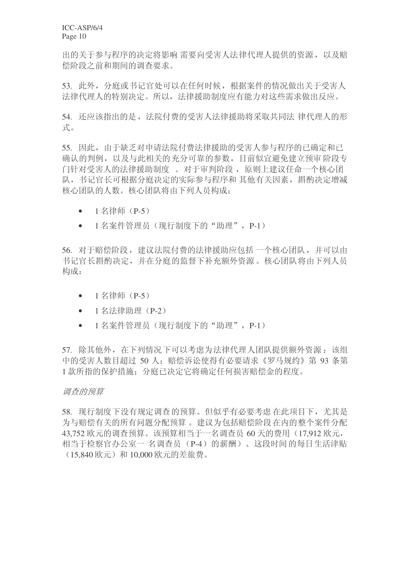ICC-ASP/6/4 Page 10

出的关于参与程序的决定将影响 需要向受害人法律代理人提供的资源, 以及赔 偿阶段之前和期间的调杳要求。

53. 此外, 分庭或书记官处可以在任何时候, 根据案件的情况做出关于受害人 法律代理人的特别决定。所以, 法律援助制度应有能力对这些需求做出反应。

54. 还应该指出的是, 法院付费的受害人法律援助将采取共同法 律代理人的形 式。

55. 因此, 由于缺乏对申请法院付费法律援助的受害人参与程序的已确定和已 确认的判例,以及与此相关的充分可靠的参数,目前似宜避免建立预审阶段专 门针对受害人的法律援助制度。对于审判阶段, 原则上建议任命一个核心团 队, 书记官长可根据分庭决定的实际参与程序和 其他有关因素, 斟酌决定增减 核心团队的人数。核心团队将由下列人员构成:

- $1$  名律师 (P-5)
- 1 名案件管理员(现行制度下的"助理", P-1)

56. 对于赔偿阶段, 建议法院付费的法律援助应包括一个核心团队, 并可以由 书记官长斟酌决定,并在分庭的监督下补充额外资源。核心团队将由下列人员 构成:

- $1$  名律师 (P-5)
- 1 名法律助理 (P-2)
- 1 名案件管理员(现行制度下的"助理", P-1)

57. 除其他外, 在下列情况下可以考虑为法律代理人团队提供额外资源: 该组 中的受害人数目超过 50 人; 赔偿诉讼使得有必要请求《罗马规约》第 93 条第 1 款所指的保护措施; 分庭已决定它将确定任何损害赔偿金的程度。

#### 调查的预算

58. 现行制度下没有规定调查的预算。但似乎有必要考虑在此项目下, 尤其是 为与赔偿有关的所有问题分配预算。建议为包括赔偿阶段在内的整个案件分配 43,752 欧元的调查预算。该预算相当于一名调查员 60 天的费用 (17,912 欧元, 相当于检察官办公室一名调查员 (P-4) 的薪酬)、这段时间的每日生活津贴  $(15.840 \,\mathrm{K} \, \pi)$  和 10,000 欧元的差旅费。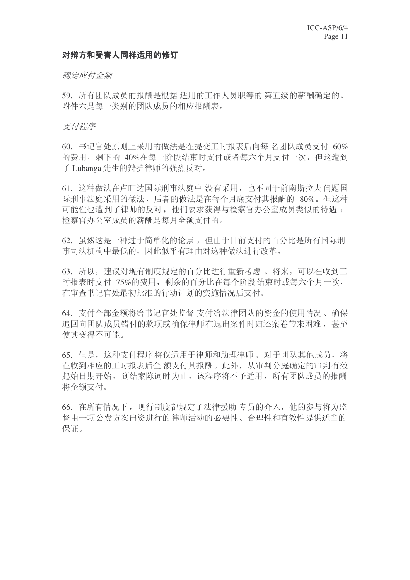### 对辩方和受害人同样适用的修订

#### 确定应付金额

59. 所有团队成员的报酬是根据 适用的工作人员职等的 第五级的薪酬确定的。 附件六是每一类别的团队成员的相应报酬表。

#### 支付程序

60. 书记官处原则上采用的做法是在提交工时报表后向每 名团队成员支付 60% 的费用, 剩下的 40%在每一阶段结束时支付或者每六个月支付一次, 但这遭到 了 Lubanga 先生的辩护律师的强烈反对。

61. 这种做法在卢旺达国际刑事法庭中 没有采用, 也不同于前南斯拉夫 问题国 际刑事法庭采用的做法, 后者的做法是在每个月底支付其报酬的 80%。但这种 可能性也遭到了律师的反对,他们要求获得与检察官办公室成员类似的待遇: 检察官办公室成员的薪酬是每月全额支付的。

62. 虽然这是一种过于简单化的论点,但由于目前支付的百分比是所有国际刑 事司法机构中最低的, 因此似乎有理由对这种做法讲行改革。

63. 所以, 建议对现有制度规定的百分比进行重新考虑 。将来, 可以在收到工 时报表时支付 75%的费用, 剩余的百分比在每个阶段结束时或每六个月一次, 在审查书记官处最初批准的行动计划的实施情况后支付。

64. 支付全部金额将给书记官处监督 支付给法律团队的资金的使用情况、确保 追回向团队 成员错付的款项或确保律师在退出案件时归还案卷带来困难, 甚至 使其变得不可能。

65. 但是,这种支付程序将仅适用于律师和助理律师。对于团队其他成员,将 在收到相应的工时报表后全额支付其报酬。此外, 从审判分庭确定的审判有效 起始日期开始, 到结案陈词时为止, 该程序将不予适用, 所有团队成员的报酬 将全额支付。

66. 在所有情况下, 现行制度都规定了法律援助 专员的介入, 他的参与将为监 督由一项公费方案出资进行的律师活动的必要性、合理性和有效性提供适当的 保证。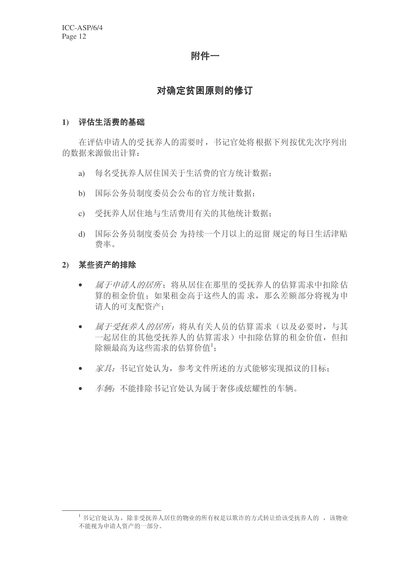### 附件一

### 对确定贫困原则的修订

#### 1) 评估生活费的基础

在评估申请人的受抚养人的需要时, 书记官处将根据下列按优先次序列出 的数据来源做出计算:

- a) 每名受抚养人居住国关于生活费的官方统计数据;
- b) 国际公务员制度委员会公布的官方统计数据:
- c) 受抚养人居住地与生活费用有关的其他统计数据:
- d) 国际公务员制度委员会为持续一个月以上的逗留规定的每日生活津贴 费率。

### 2) 某些资产的排除

- 属于申请人的居所: 将从居住在那里的受抚养人的估算需求中扣除估 算的租金价值; 如果租金高于这些人的需求, 那么差额部分将视为申 请人的可支配资产:
- 属于受抚养人的居所: 将从有关人员的估算需求(以及必要时, 与其 一起居住的其他受抚养人的估算需求)中扣除估算的租金价值,但扣 除额最高为这些需求的估算价值<sup>1</sup>;
- 家具: 书记官处认为, 参考文件所述的方式能够实现拟议的目标;
- 车辆: 不能排除书记官处认为属于奢侈或炫耀性的车辆。

<sup>1</sup> 书记官处认为, 除非受抚养人居住的物业的所有权是以欺诈的方式转让给该受抚养人的, 该物业 不能视为申请人资产的一部分。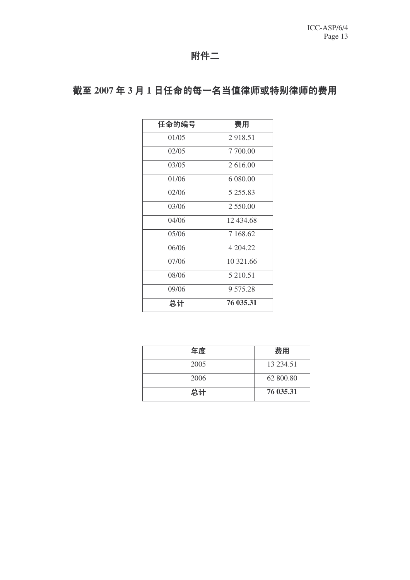## 附件二

# 截至 2007 年 3 月 1 日任命的每一名当值律师或特别律师的费用

| 任命的编号 | 费用        |
|-------|-----------|
| 01/05 | 2918.51   |
| 02/05 | 7 700.00  |
| 03/05 | 2 616.00  |
| 01/06 | 6 080.00  |
| 02/06 | 5 255.83  |
| 03/06 | 2 550.00  |
| 04/06 | 12 434.68 |
| 05/06 | 7 168.62  |
| 06/06 | 4 204.22  |
| 07/06 | 10 321.66 |
| 08/06 | 5 210.51  |
| 09/06 | 9 575.28  |
| 总计    | 76 035.31 |

| 年度   | 费用        |
|------|-----------|
| 2005 | 13 234.51 |
| 2006 | 62 800.80 |
| 总计   | 76 035.31 |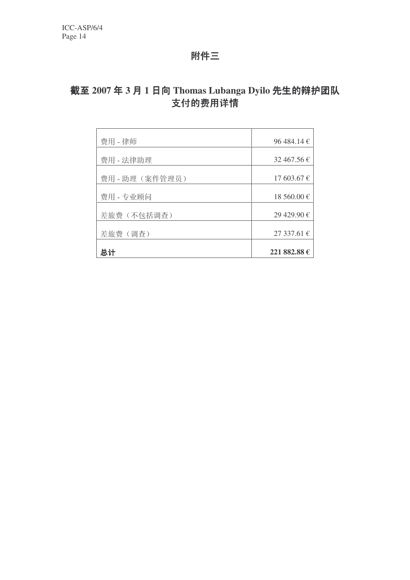## 附件三

# 截至 2007年3月1日向 Thomas Lubanga Dyilo 先生的辩护团队 支付的费用详情

| 费用 - 律师        | 96 484.14 $\in$ |
|----------------|-----------------|
| 费用 - 法律助理      | 32 467.56 $\in$ |
| 费用 - 助理(案件管理员) | 17603.67€       |
| 费用 - 专业顾问      | 18 560.00 €     |
| 差旅费(不包括调查)     | 29 429.90 €     |
| 差旅费(调查)        | 27337.61€       |
| 总计             | 221 882.88 €    |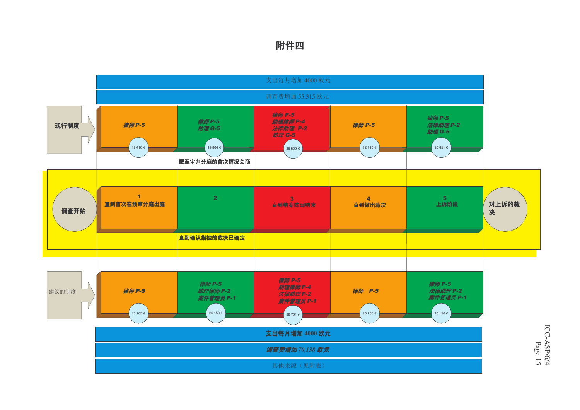### 附件四



ICC-ASP/6/4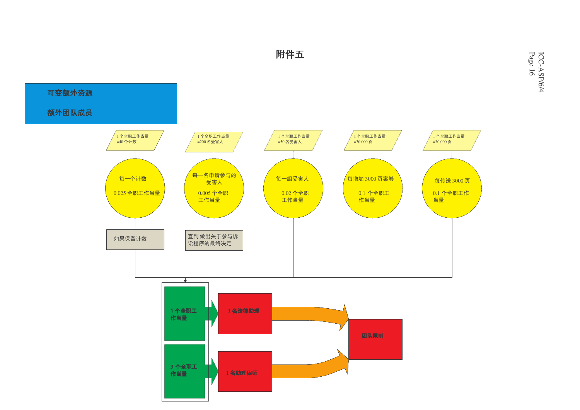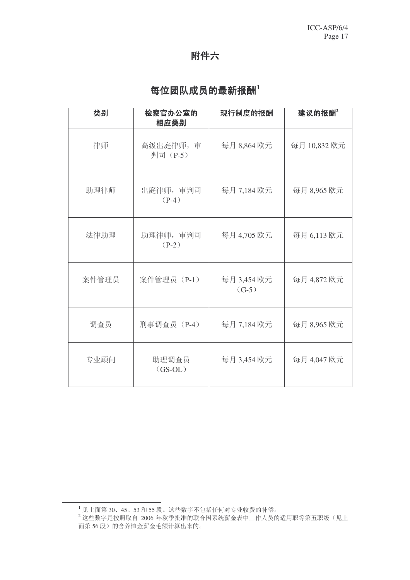# 附件六

# 每位团队成员的最新报酬<sup>1</sup>

| 类别    | 检察官办公室的<br>相应类别       | 现行制度的报酬                | 建议的报酬2      |
|-------|-----------------------|------------------------|-------------|
| 律师    | 高级出庭律师, 审<br>判司 (P-5) | 每月 8,864 欧元            | 每月10,832 欧元 |
| 助理律师  | 出庭律师, 审判司<br>$(P-4)$  | 每月 7,184 欧元            | 每月 8,965 欧元 |
| 法律助理  | 助理律师, 审判司<br>$(P-2)$  | 每月 4,705 欧元            | 每月 6,113 欧元 |
| 案件管理员 | 案件管理员 (P-1)           | 每月 3,454 欧元<br>$(G-5)$ | 每月 4,872 欧元 |
| 调查员   | 刑事调查员 (P-4)           | 每月 7,184 欧元            | 每月 8,965 欧元 |
| 专业顾问  | 助理调查员<br>$(GS-OL)$    | 每月 3,454 欧元            | 每月 4,047 欧元 |

 $^{-1}$  见上面第 30、45、53 和 55 段。这些数字不包括任何对专业收费的补偿。

<sup>→ &</sup>lt;del>2.1.11.4.5.000 ... 20 ...000 ...</del> 2006 年秋季批准的联合国系统薪金表中工作人员的适用职等第五职级 (见上 面第56段)的含养恤金薪金毛额计算出来的。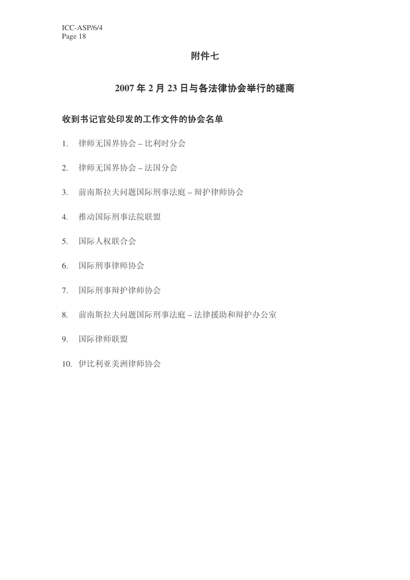### 附件七

## 2007年2月23日与各法律协会举行的磋商

### 收到书记官处印发的工作文件的协会名单

- 1. 律师无国界协会 比利时分会
- 2. 律师无国界协会 法国分会
- 3. 前南斯拉夫问题国际刑事法庭 辩护律师协会
- 4. 推动国际刑事法院联盟
- 5. 国际人权联合会
- 6. 国际刑事律师协会
- 7. 国际刑事辩护律师协会
- 8. 前南斯拉夫问题国际刑事法庭 法律援助和辩护办公室
- 9. 国际律师联盟
- 10. 伊比利亚美洲律师协会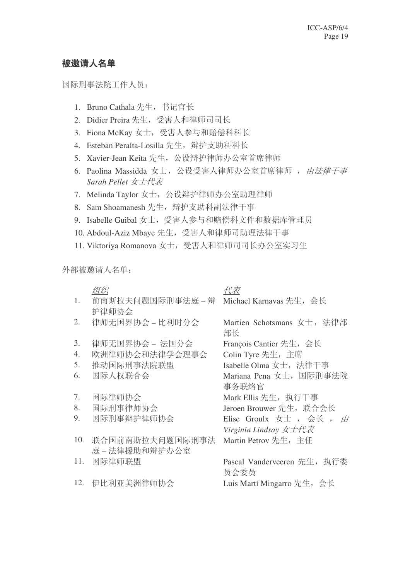### 被邀请人名单

国际刑事法院工作人员:

- 1. Bruno Cathala 先生, 书记官长
- 2. Didier Preira 先生, 受害人和律师司司长
- 3. Fiona McKay 女士, 受害人参与和赔偿科科长
- 4. Esteban Peralta-Losilla 先生, 辩护支助科科长
- 5. Xavier-Jean Keita 先生, 公设辩护律师办公室首席律师
- 6. Paolina Massidda 女士, 公设受害人律师办公室首席律师, 由法律干事 **Sarah Pellet** 女士代表
- 7. Melinda Taylor 女士, 公设辩护律师办公室助理律师
- 8. Sam Shoamanesh 先生, 辩护支助科副法律干事
- 9. Isabelle Guibal 女士, 受害人参与和赔偿科文件和数据库管理员
- 10. Abdoul-Aziz Mbaye 先生, 受害人和律师司助理法律干事
- 11. Viktoriya Romanova 女士, 受害人和律师司司长办公室实习生

外部被邀请人名单:

|     | 组织                | 代表                          |
|-----|-------------------|-----------------------------|
| 1.  | 前南斯拉夫问题国际刑事法庭 – 辩 | Michael Karnavas 先生, 会长     |
|     | 护律师协会             |                             |
| 2.  | 律师无国界协会 – 比利时分会   | Martien Schotsmans 女士, 法律部  |
|     |                   | 部长                          |
| 3.  | 律师无国界协会 – 法国分会    | François Cantier 先生, 会长     |
| 4.  | 欧洲律师协会和法律学会理事会    | Colin Tyre 先生, 主席           |
| 5.  | 推动国际刑事法院联盟        | Isabelle Olma 女士, 法律干事      |
| 6.  | 国际人权联合会           | Mariana Pena 女士, 国际刑事法院     |
|     |                   | 事务联络官                       |
| 7.  | 国际律师协会            | Mark Ellis 先生, 执行干事         |
| 8.  | 国际刑事律师协会          | Jeroen Brouwer 先生, 联合会长     |
| 9.  | 国际刑事辩护律师协会        | Elise Groulx 女士, 会长, 由      |
|     |                   | Virginia Lindsay 女士代表       |
| 10. | 联合国前南斯拉夫问题国际刑事法   | Martin Petrov 先生, 主任        |
|     | 庭-法律援助和辩护办公室      |                             |
| 11. | 国际律师联盟            | Pascal Vanderveeren 先生, 执行委 |
|     |                   | 员会委员                        |
| 12. | 伊比利亚美洲律师协会        | Luis Martí Mingarro 先生,会长   |
|     |                   |                             |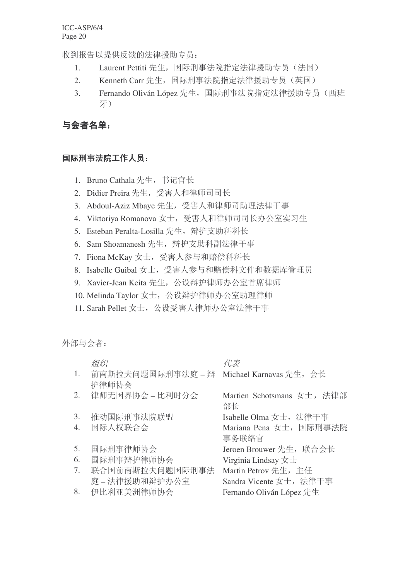收到报告以提供反馈的法律援助专员:

- 1. Laurent Pettiti 先生, 国际刑事法院指定法律援助专员(法国)
- 2. Kenneth Carr 先生, 国际刑事法院指定法律援助专员(英国)
- 3. Fernando Oliván López 先生, 国际刑事法院指定法律援助专员(西班 ⠭˅

# 与会者名单:

### 国际刑事法院工作人员:

- 1. Bruno Cathala 先生, 书记官长
- 2. Didier Preira 先生, 受害人和律师司司长
- 3. Abdoul-Aziz Mbaye 先生, 受害人和律师司助理法律干事
- 4. Viktoriya Romanova 女士, 受害人和律师司司长办公室实习生
- 5. Esteban Peralta-Losilla 先生, 辩护支助科科长
- 6. Sam Shoamanesh 先生, 辩护支助科副法律干事
- 7. Fiona McKay 女士, 受害人参与和赔偿科科长
- 8. Isabelle Guibal 女士, 受害人参与和赔偿科文件和数据库管理员
- 9. Xavier-Jean Keita 先生, 公设辩护律师办公室首席律师
- 10. Melinda Taylor 女士, 公设辩护律师办公室助理律师
- 11. Sarah Pellet 女士, 公设受害人律师办公室法律干事

外部与会者:

|    | 组织                | 代表                         |
|----|-------------------|----------------------------|
| 1. | 前南斯拉夫问题国际刑事法庭 – 辩 | Michael Karnavas 先生, 会长    |
|    | 护律师协会             |                            |
| 2. | 律师无国界协会 – 比利时分会   | Martien Schotsmans 女士, 法律部 |
|    |                   | 部长                         |
| 3. | 推动国际刑事法院联盟        | Isabelle Olma 女士, 法律干事     |
| 4. | 国际人权联合会           | Mariana Pena 女士, 国际刑事法院    |
|    |                   | 事务联络官                      |
| 5. | 国际刑事律师协会          | Jeroen Brouwer 先生, 联合会长    |
| 6. | 国际刑事辩护律师协会        | Virginia Lindsay $\pm \pm$ |
| 7. | 联合国前南斯拉夫问题国际刑事法   | Martin Petrov 先生, 主任       |
|    | 庭-法律援助和辩护办公室      | Sandra Vicente 女士, 法律干事    |
| 8. | 伊比利亚美洲律师协会        | Fernando Oliván López 先生   |
|    |                   |                            |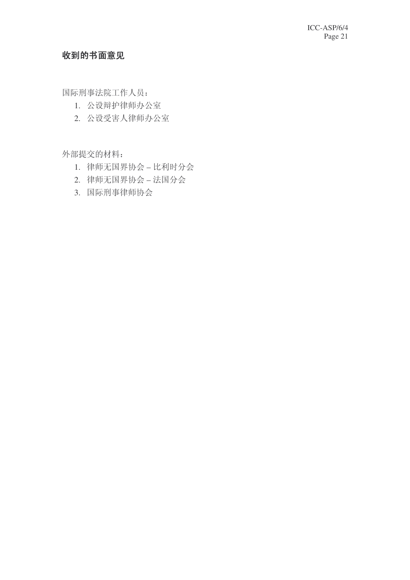## 收到的书面意见

国际刑事法院工作人员:

- 1. 公设辩护律师办公室
- 2. 公设受害人律师办公室

外部提交的材料:

- 1. 律师无国界协会 比利时分会
- 2. 律师无国界协会 法国分会
- 3. 国际刑事律师协会